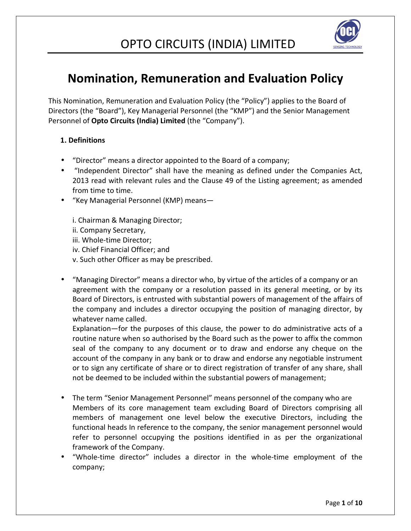

## **Nomination, Remuneration and Evaluation Policy**

This Nomination, Remuneration and Evaluation Policy (the "Policy") applies to the Board of Directors (the "Board"), Key Managerial Personnel (the "KMP") and the Senior Management Personnel of **Opto Circuits (India) Limited** (the "Company").

### **1. Definitions**

- "Director" means a director appointed to the Board of a company;
- "Independent Director" shall have the meaning as defined under the Companies Act, 2013 read with relevant rules and the Clause 49 of the Listing agreement; as amended from time to time.
- "Key Managerial Personnel (KMP) means—

i. Chairman & Managing Director; ii. Company Secretary, iii. Whole-time Director; iv. Chief Financial Officer; and v. Such other Officer as may be prescribed.

• "Managing Director" means a director who, by virtue of the articles of a company or an agreement with the company or a resolution passed in its general meeting, or by its Board of Directors, is entrusted with substantial powers of management of the affairs of the company and includes a director occupying the position of managing director, by whatever name called.

Explanation—for the purposes of this clause, the power to do administrative acts of a routine nature when so authorised by the Board such as the power to affix the common seal of the company to any document or to draw and endorse any cheque on the account of the company in any bank or to draw and endorse any negotiable instrument or to sign any certificate of share or to direct registration of transfer of any share, shall not be deemed to be included within the substantial powers of management;

- The term "Senior Management Personnel" means personnel of the company who are Members of its core management team excluding Board of Directors comprising all members of management one level below the executive Directors, including the functional heads In reference to the company, the senior management personnel would refer to personnel occupying the positions identified in as per the organizational framework of the Company.
- "Whole-time director" includes a director in the whole-time employment of the company;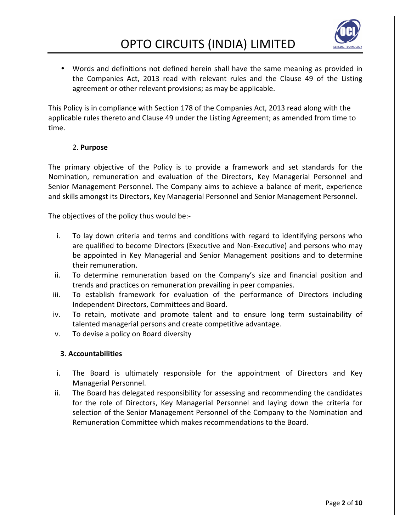

• Words and definitions not defined herein shall have the same meaning as provided in the Companies Act, 2013 read with relevant rules and the Clause 49 of the Listing agreement or other relevant provisions; as may be applicable.

This Policy is in compliance with Section 178 of the Companies Act, 2013 read along with the applicable rules thereto and Clause 49 under the Listing Agreement; as amended from time to time.

### 2. **Purpose**

The primary objective of the Policy is to provide a framework and set standards for the Nomination, remuneration and evaluation of the Directors, Key Managerial Personnel and Senior Management Personnel. The Company aims to achieve a balance of merit, experience and skills amongst its Directors, Key Managerial Personnel and Senior Management Personnel.

The objectives of the policy thus would be:-

- i. To lay down criteria and terms and conditions with regard to identifying persons who are qualified to become Directors (Executive and Non-Executive) and persons who may be appointed in Key Managerial and Senior Management positions and to determine their remuneration.
- ii. To determine remuneration based on the Company's size and financial position and trends and practices on remuneration prevailing in peer companies.
- iii. To establish framework for evaluation of the performance of Directors including Independent Directors, Committees and Board.
- iv. To retain, motivate and promote talent and to ensure long term sustainability of talented managerial persons and create competitive advantage.
- v. To devise a policy on Board diversity

### **3**. **Accountabilities**

- i. The Board is ultimately responsible for the appointment of Directors and Key Managerial Personnel.
- ii. The Board has delegated responsibility for assessing and recommending the candidates for the role of Directors, Key Managerial Personnel and laying down the criteria for selection of the Senior Management Personnel of the Company to the Nomination and Remuneration Committee which makes recommendations to the Board.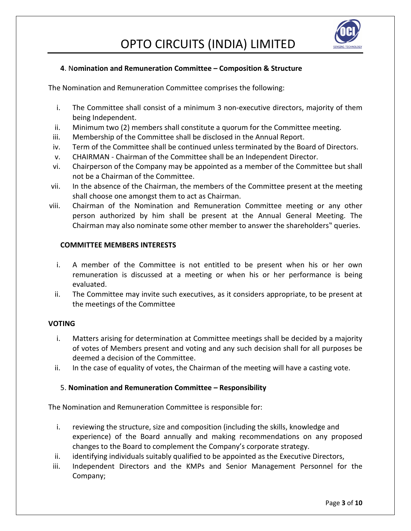

### **4**. N**omination and Remuneration Committee – Composition & Structure**

The Nomination and Remuneration Committee comprises the following:

- i. The Committee shall consist of a minimum 3 non-executive directors, majority of them being Independent.
- ii. Minimum two (2) members shall constitute a quorum for the Committee meeting.
- iii. Membership of the Committee shall be disclosed in the Annual Report.
- iv. Term of the Committee shall be continued unless terminated by the Board of Directors.
- v. CHAIRMAN Chairman of the Committee shall be an Independent Director.
- vi. Chairperson of the Company may be appointed as a member of the Committee but shall not be a Chairman of the Committee.
- vii. In the absence of the Chairman, the members of the Committee present at the meeting shall choose one amongst them to act as Chairman.
- viii. Chairman of the Nomination and Remuneration Committee meeting or any other person authorized by him shall be present at the Annual General Meeting. The Chairman may also nominate some other member to answer the shareholders" queries.

#### **COMMITTEE MEMBERS INTERESTS**

- i. A member of the Committee is not entitled to be present when his or her own remuneration is discussed at a meeting or when his or her performance is being evaluated.
- ii. The Committee may invite such executives, as it considers appropriate, to be present at the meetings of the Committee

### **VOTING**

- i. Matters arising for determination at Committee meetings shall be decided by a majority of votes of Members present and voting and any such decision shall for all purposes be deemed a decision of the Committee.
- ii. In the case of equality of votes, the Chairman of the meeting will have a casting vote.

### 5. **Nomination and Remuneration Committee – Responsibility**

The Nomination and Remuneration Committee is responsible for:

- i. reviewing the structure, size and composition (including the skills, knowledge and experience) of the Board annually and making recommendations on any proposed changes to the Board to complement the Company's corporate strategy.
- ii. identifying individuals suitably qualified to be appointed as the Executive Directors,
- iii. Independent Directors and the KMPs and Senior Management Personnel for the Company;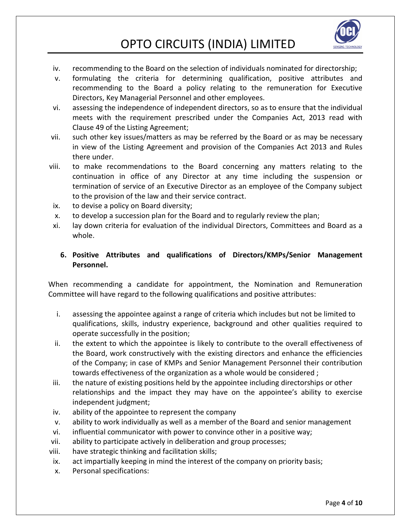

- iv. recommending to the Board on the selection of individuals nominated for directorship;
- v. formulating the criteria for determining qualification, positive attributes and recommending to the Board a policy relating to the remuneration for Executive Directors, Key Managerial Personnel and other employees.
- vi. assessing the independence of independent directors, so as to ensure that the individual meets with the requirement prescribed under the Companies Act, 2013 read with Clause 49 of the Listing Agreement;
- vii. such other key issues/matters as may be referred by the Board or as may be necessary in view of the Listing Agreement and provision of the Companies Act 2013 and Rules there under.
- viii. to make recommendations to the Board concerning any matters relating to the continuation in office of any Director at any time including the suspension or termination of service of an Executive Director as an employee of the Company subject to the provision of the law and their service contract.
- ix. to devise a policy on Board diversity;
- x. to develop a succession plan for the Board and to regularly review the plan;
- xi. lay down criteria for evaluation of the individual Directors, Committees and Board as a whole.

### **6. Positive Attributes and qualifications of Directors/KMPs/Senior Management Personnel.**

When recommending a candidate for appointment, the Nomination and Remuneration Committee will have regard to the following qualifications and positive attributes:

- i. assessing the appointee against a range of criteria which includes but not be limited to qualifications, skills, industry experience, background and other qualities required to operate successfully in the position;
- ii. the extent to which the appointee is likely to contribute to the overall effectiveness of the Board, work constructively with the existing directors and enhance the efficiencies of the Company; in case of KMPs and Senior Management Personnel their contribution towards effectiveness of the organization as a whole would be considered ;
- iii. the nature of existing positions held by the appointee including directorships or other relationships and the impact they may have on the appointee's ability to exercise independent judgment;
- iv. ability of the appointee to represent the company
- v. ability to work individually as well as a member of the Board and senior management
- vi. influential communicator with power to convince other in a positive way;
- vii. ability to participate actively in deliberation and group processes;
- viii. have strategic thinking and facilitation skills;
- ix. act impartially keeping in mind the interest of the company on priority basis;
- x. Personal specifications: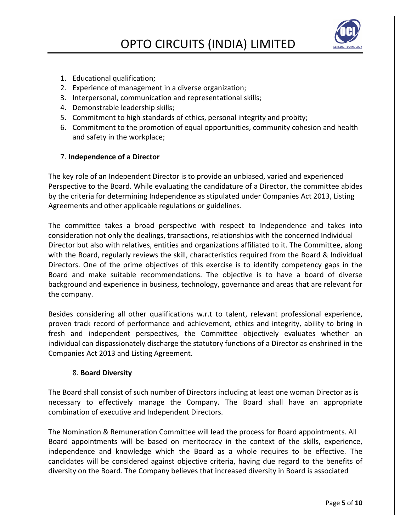

- 1. Educational qualification;
- 2. Experience of management in a diverse organization;
- 3. Interpersonal, communication and representational skills;
- 4. Demonstrable leadership skills;
- 5. Commitment to high standards of ethics, personal integrity and probity;
- 6. Commitment to the promotion of equal opportunities, community cohesion and health and safety in the workplace;

#### 7. **Independence of a Director**

The key role of an Independent Director is to provide an unbiased, varied and experienced Perspective to the Board. While evaluating the candidature of a Director, the committee abides by the criteria for determining Independence as stipulated under Companies Act 2013, Listing Agreements and other applicable regulations or guidelines.

The committee takes a broad perspective with respect to Independence and takes into consideration not only the dealings, transactions, relationships with the concerned Individual Director but also with relatives, entities and organizations affiliated to it. The Committee, along with the Board, regularly reviews the skill, characteristics required from the Board & Individual Directors. One of the prime objectives of this exercise is to identify competency gaps in the Board and make suitable recommendations. The objective is to have a board of diverse background and experience in business, technology, governance and areas that are relevant for the company.

Besides considering all other qualifications w.r.t to talent, relevant professional experience, proven track record of performance and achievement, ethics and integrity, ability to bring in fresh and independent perspectives, the Committee objectively evaluates whether an individual can dispassionately discharge the statutory functions of a Director as enshrined in the Companies Act 2013 and Listing Agreement.

#### 8. **Board Diversity**

The Board shall consist of such number of Directors including at least one woman Director as is necessary to effectively manage the Company. The Board shall have an appropriate combination of executive and Independent Directors.

The Nomination & Remuneration Committee will lead the process for Board appointments. All Board appointments will be based on meritocracy in the context of the skills, experience, independence and knowledge which the Board as a whole requires to be effective. The candidates will be considered against objective criteria, having due regard to the benefits of diversity on the Board. The Company believes that increased diversity in Board is associated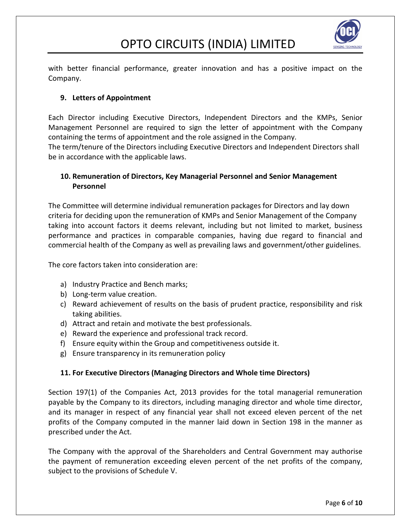

with better financial performance, greater innovation and has a positive impact on the Company.

### **9. Letters of Appointment**

Each Director including Executive Directors, Independent Directors and the KMPs, Senior Management Personnel are required to sign the letter of appointment with the Company containing the terms of appointment and the role assigned in the Company. The term/tenure of the Directors including Executive Directors and Independent Directors shall

be in accordance with the applicable laws.

### **10. Remuneration of Directors, Key Managerial Personnel and Senior Management Personnel**

The Committee will determine individual remuneration packages for Directors and lay down criteria for deciding upon the remuneration of KMPs and Senior Management of the Company taking into account factors it deems relevant, including but not limited to market, business performance and practices in comparable companies, having due regard to financial and commercial health of the Company as well as prevailing laws and government/other guidelines.

The core factors taken into consideration are:

- a) Industry Practice and Bench marks;
- b) Long-term value creation.
- c) Reward achievement of results on the basis of prudent practice, responsibility and risk taking abilities.
- d) Attract and retain and motivate the best professionals.
- e) Reward the experience and professional track record.
- f) Ensure equity within the Group and competitiveness outside it.
- g) Ensure transparency in its remuneration policy

### **11. For Executive Directors (Managing Directors and Whole time Directors)**

Section 197(1) of the Companies Act, 2013 provides for the total managerial remuneration payable by the Company to its directors, including managing director and whole time director, and its manager in respect of any financial year shall not exceed eleven percent of the net profits of the Company computed in the manner laid down in Section 198 in the manner as prescribed under the Act.

The Company with the approval of the Shareholders and Central Government may authorise the payment of remuneration exceeding eleven percent of the net profits of the company, subject to the provisions of Schedule V.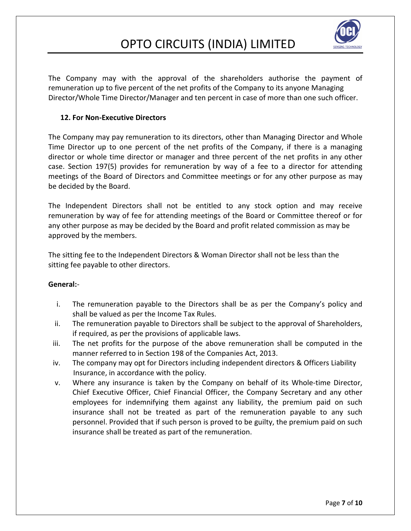

The Company may with the approval of the shareholders authorise the payment of remuneration up to five percent of the net profits of the Company to its anyone Managing Director/Whole Time Director/Manager and ten percent in case of more than one such officer.

### **12. For Non-Executive Directors**

The Company may pay remuneration to its directors, other than Managing Director and Whole Time Director up to one percent of the net profits of the Company, if there is a managing director or whole time director or manager and three percent of the net profits in any other case. Section 197(5) provides for remuneration by way of a fee to a director for attending meetings of the Board of Directors and Committee meetings or for any other purpose as may be decided by the Board.

The Independent Directors shall not be entitled to any stock option and may receive remuneration by way of fee for attending meetings of the Board or Committee thereof or for any other purpose as may be decided by the Board and profit related commission as may be approved by the members.

The sitting fee to the Independent Directors & Woman Director shall not be less than the sitting fee payable to other directors.

### **General:**-

- i. The remuneration payable to the Directors shall be as per the Company's policy and shall be valued as per the Income Tax Rules.
- ii. The remuneration payable to Directors shall be subject to the approval of Shareholders, if required, as per the provisions of applicable laws.
- iii. The net profits for the purpose of the above remuneration shall be computed in the manner referred to in Section 198 of the Companies Act, 2013.
- iv. The company may opt for Directors including independent directors & Officers Liability Insurance, in accordance with the policy.
- v. Where any insurance is taken by the Company on behalf of its Whole-time Director, Chief Executive Officer, Chief Financial Officer, the Company Secretary and any other employees for indemnifying them against any liability, the premium paid on such insurance shall not be treated as part of the remuneration payable to any such personnel. Provided that if such person is proved to be guilty, the premium paid on such insurance shall be treated as part of the remuneration.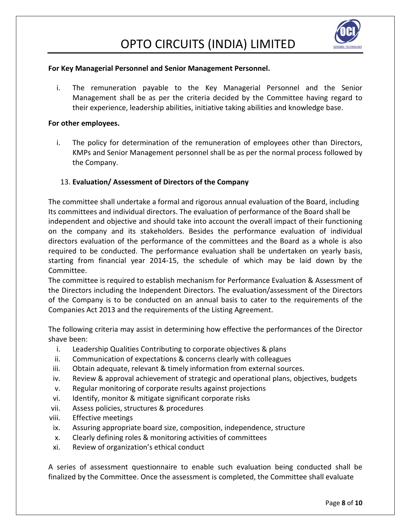

#### **For Key Managerial Personnel and Senior Management Personnel.**

i. The remuneration payable to the Key Managerial Personnel and the Senior Management shall be as per the criteria decided by the Committee having regard to their experience, leadership abilities, initiative taking abilities and knowledge base.

#### **For other employees.**

i. The policy for determination of the remuneration of employees other than Directors, KMPs and Senior Management personnel shall be as per the normal process followed by the Company.

### 13. **Evaluation/ Assessment of Directors of the Company**

The committee shall undertake a formal and rigorous annual evaluation of the Board, including Its committees and individual directors. The evaluation of performance of the Board shall be independent and objective and should take into account the overall impact of their functioning on the company and its stakeholders. Besides the performance evaluation of individual directors evaluation of the performance of the committees and the Board as a whole is also required to be conducted. The performance evaluation shall be undertaken on yearly basis, starting from financial year 2014-15, the schedule of which may be laid down by the Committee.

The committee is required to establish mechanism for Performance Evaluation & Assessment of the Directors including the Independent Directors. The evaluation/assessment of the Directors of the Company is to be conducted on an annual basis to cater to the requirements of the Companies Act 2013 and the requirements of the Listing Agreement.

The following criteria may assist in determining how effective the performances of the Director shave been:

- i. Leadership Qualities Contributing to corporate objectives & plans
- ii. Communication of expectations & concerns clearly with colleagues
- iii. Obtain adequate, relevant & timely information from external sources.
- iv. Review & approval achievement of strategic and operational plans, objectives, budgets
- v. Regular monitoring of corporate results against projections
- vi. Identify, monitor & mitigate significant corporate risks
- vii. Assess policies, structures & procedures
- viii. Effective meetings
- ix. Assuring appropriate board size, composition, independence, structure
- x. Clearly defining roles & monitoring activities of committees
- xi. Review of organization's ethical conduct

A series of assessment questionnaire to enable such evaluation being conducted shall be finalized by the Committee. Once the assessment is completed, the Committee shall evaluate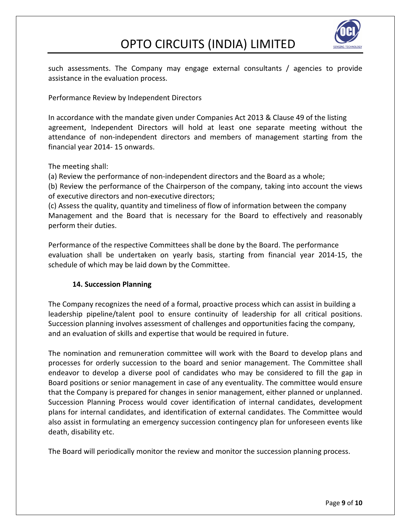

such assessments. The Company may engage external consultants / agencies to provide assistance in the evaluation process.

Performance Review by Independent Directors

In accordance with the mandate given under Companies Act 2013 & Clause 49 of the listing agreement, Independent Directors will hold at least one separate meeting without the attendance of non-independent directors and members of management starting from the financial year 2014- 15 onwards.

The meeting shall:

(a) Review the performance of non-independent directors and the Board as a whole;

(b) Review the performance of the Chairperson of the company, taking into account the views of executive directors and non-executive directors;

(c) Assess the quality, quantity and timeliness of flow of information between the company Management and the Board that is necessary for the Board to effectively and reasonably perform their duties.

Performance of the respective Committees shall be done by the Board. The performance evaluation shall be undertaken on yearly basis, starting from financial year 2014-15, the schedule of which may be laid down by the Committee.

### **14. Succession Planning**

The Company recognizes the need of a formal, proactive process which can assist in building a leadership pipeline/talent pool to ensure continuity of leadership for all critical positions. Succession planning involves assessment of challenges and opportunities facing the company, and an evaluation of skills and expertise that would be required in future.

The nomination and remuneration committee will work with the Board to develop plans and processes for orderly succession to the board and senior management. The Committee shall endeavor to develop a diverse pool of candidates who may be considered to fill the gap in Board positions or senior management in case of any eventuality. The committee would ensure that the Company is prepared for changes in senior management, either planned or unplanned. Succession Planning Process would cover identification of internal candidates, development plans for internal candidates, and identification of external candidates. The Committee would also assist in formulating an emergency succession contingency plan for unforeseen events like death, disability etc.

The Board will periodically monitor the review and monitor the succession planning process.